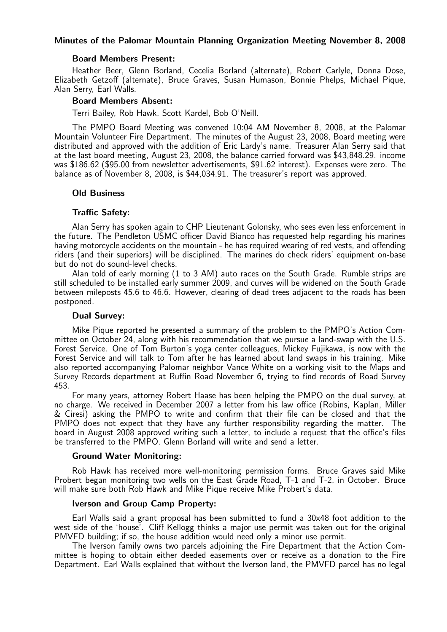## Minutes of the Palomar Mountain Planning Organization Meeting November 8, 2008

#### Board Members Present:

Heather Beer, Glenn Borland, Cecelia Borland (alternate), Robert Carlyle, Donna Dose, Elizabeth Getzoff (alternate), Bruce Graves, Susan Humason, Bonnie Phelps, Michael Pique, Alan Serry, Earl Walls.

#### Board Members Absent:

Terri Bailey, Rob Hawk, Scott Kardel, Bob O'Neill.

The PMPO Board Meeting was convened 10:04 AM November 8, 2008, at the Palomar Mountain Volunteer Fire Department. The minutes of the August 23, 2008, Board meeting were distributed and approved with the addition of Eric Lardy's name. Treasurer Alan Serry said that at the last board meeting, August 23, 2008, the balance carried forward was \$43,848.29. income was \$186.62 (\$95.00 from newsletter advertisements, \$91.62 interest). Expenses were zero. The balance as of November 8, 2008, is \$44,034.91. The treasurer's report was approved.

#### Old Business

#### Traffic Safety:

Alan Serry has spoken again to CHP Lieutenant Golonsky, who sees even less enforcement in the future. The Pendleton USMC officer David Bianco has requested help regarding his marines having motorcycle accidents on the mountain - he has required wearing of red vests, and offending riders (and their superiors) will be disciplined. The marines do check riders' equipment on-base but do not do sound-level checks.

Alan told of early morning (1 to 3 AM) auto races on the South Grade. Rumble strips are still scheduled to be installed early summer 2009, and curves will be widened on the South Grade between mileposts 45.6 to 46.6. However, clearing of dead trees adjacent to the roads has been postponed.

#### Dual Survey:

Mike Pique reported he presented a summary of the problem to the PMPO's Action Committee on October 24, along with his recommendation that we pursue a land-swap with the U.S. Forest Service. One of Tom Burton's yoga center colleagues, Mickey Fujikawa, is now with the Forest Service and will talk to Tom after he has learned about land swaps in his training. Mike also reported accompanying Palomar neighbor Vance White on a working visit to the Maps and Survey Records department at Ruffin Road November 6, trying to find records of Road Survey 453.

For many years, attorney Robert Haase has been helping the PMPO on the dual survey, at no charge. We received in December 2007 a letter from his law office (Robins, Kaplan, Miller & Ciresi) asking the PMPO to write and confirm that their file can be closed and that the PMPO does not expect that they have any further responsibility regarding the matter. The board in August 2008 approved writing such a letter, to include a request that the office's files be transferred to the PMPO. Glenn Borland will write and send a letter.

#### Ground Water Monitoring:

Rob Hawk has received more well-monitoring permission forms. Bruce Graves said Mike Probert began monitoring two wells on the East Grade Road, T-1 and T-2, in October. Bruce will make sure both Rob Hawk and Mike Pique receive Mike Probert's data.

## Iverson and Group Camp Property:

Earl Walls said a grant proposal has been submitted to fund a 30x48 foot addition to the west side of the 'house'. Cliff Kellogg thinks a major use permit was taken out for the original PMVFD building; if so, the house addition would need only a minor use permit.

The Iverson family owns two parcels adjoining the Fire Department that the Action Committee is hoping to obtain either deeded easements over or receive as a donation to the Fire Department. Earl Walls explained that without the Iverson land, the PMVFD parcel has no legal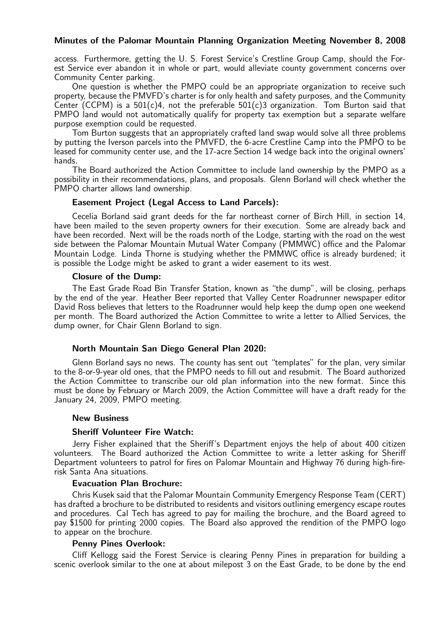## Minutes of the Palomar Mountain Planning Organization Meeting November 8, 2008

access. Furthermore, getting the U. S. Forest Service's Crestline Group Camp, should the Forest Service ever abandon it in whole or part, would alleviate county government concerns over Community Center parking.

One question is whether the PMPO could be an appropriate organization to receive such property, because the PMVFD's charter is for only health and safety purposes, and the Community Center (CCPM) is a 501(c)4, not the preferable  $501(c)3$  organization. Tom Burton said that PMPO land would not automatically qualify for property tax exemption but a separate welfare purpose exemption could be requested.

Tom Burton suggests that an appropriately crafted land swap would solve all three problems by putting the Iverson parcels into the PMVFD, the 6-acre Crestline Camp into the PMPO to be leased for community center use, and the 17-acre Section 14 wedge back into the original owners' hands.

The Board authorized the Action Committee to include land ownership by the PMPO as a possibility in their recommendations, plans, and proposals. Glenn Borland will check whether the PMPO charter allows land ownership.

## Easement Project (Legal Access to Land Parcels):

Cecelia Borland said grant deeds for the far northeast corner of Birch Hill, in section 14, have been mailed to the seven property owners for their execution. Some are already back and have been recorded. Next will be the roads north of the Lodge, starting with the road on the west side between the Palomar Mountain Mutual Water Company (PMMWC) office and the Palomar Mountain Lodge. Linda Thorne is studying whether the PMMWC office is already burdened; it is possible the Lodge might be asked to grant a wider easement to its west.

## Closure of the Dump:

The East Grade Road Bin Transfer Station, known as "the dump", will be closing, perhaps by the end of the year. Heather Beer reported that Valley Center Roadrunner newspaper editor David Ross believes that letters to the Roadrunner would help keep the dump open one weekend per month. The Board authorized the Action Committee to write a letter to Allied Services, the dump owner, for Chair Glenn Borland to sign.

## North Mountain San Diego General Plan 2020:

Glenn Borland says no news. The county has sent out "templates" for the plan, very similar to the 8-or-9-year old ones, that the PMPO needs to fill out and resubmit. The Board authorized the Action Committee to transcribe our old plan information into the new format. Since this must be done by February or March 2009, the Action Committee will have a draft ready for the January 24, 2009, PMPO meeting.

## New Business

## Sheriff Volunteer Fire Watch:

Jerry Fisher explained that the Sheriff's Department enjoys the help of about 400 citizen volunteers. The Board authorized the Action Committee to write a letter asking for Sheriff Department volunteers to patrol for fires on Palomar Mountain and Highway 76 during high-firerisk Santa Ana situations.

## Evacuation Plan Brochure:

Chris Kusek said that the Palomar Mountain Community Emergency Response Team (CERT) has drafted a brochure to be distributed to residents and visitors outlining emergency escape routes and procedures. Cal Tech has agreed to pay for mailing the brochure, and the Board agreed to pay \$1500 for printing 2000 copies. The Board also approved the rendition of the PMPO logo to appear on the brochure.

## Penny Pines Overlook:

Cliff Kellogg said the Forest Service is clearing Penny Pines in preparation for building a scenic overlook similar to the one at about milepost 3 on the East Grade, to be done by the end